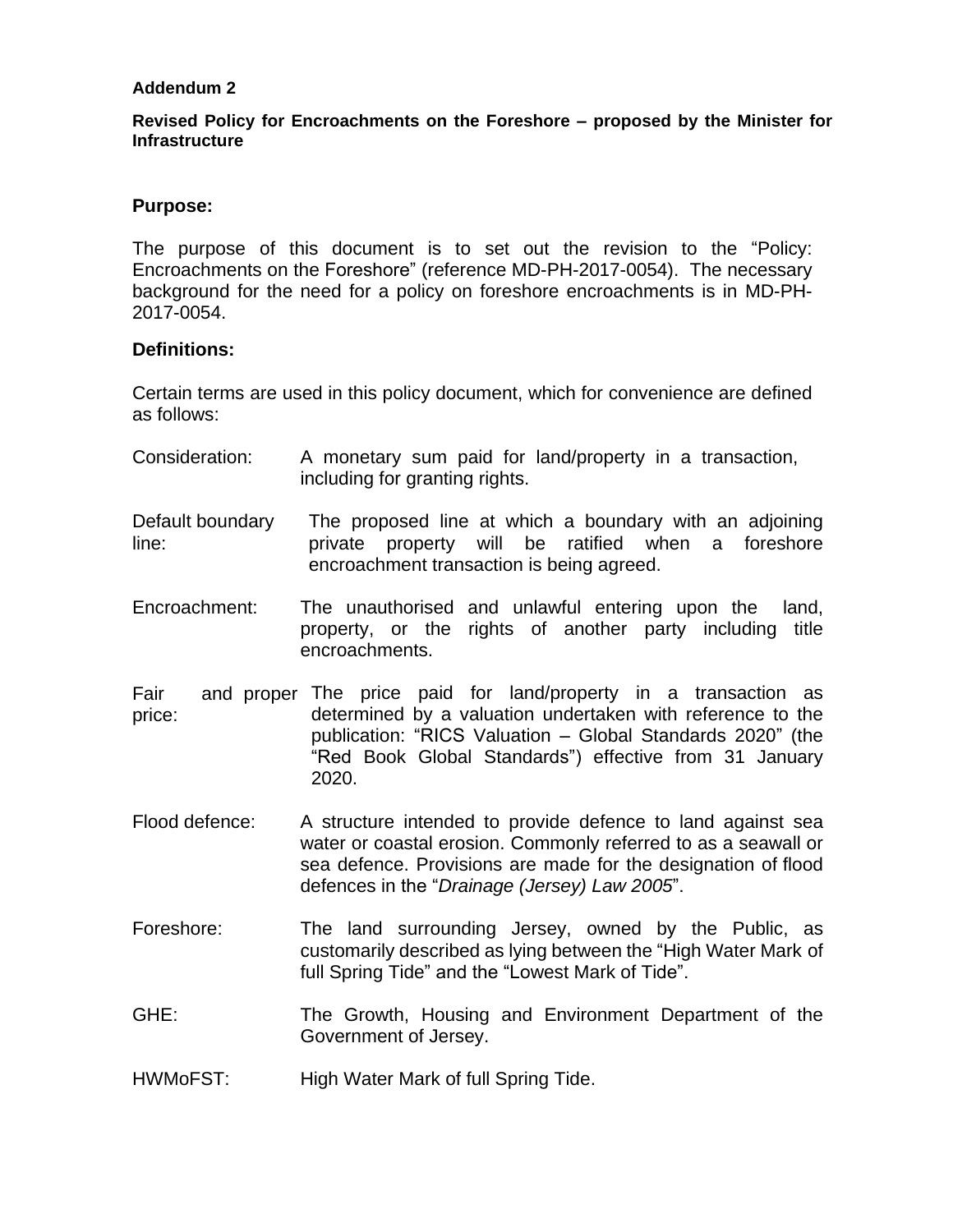### **Addendum 2**

### **Revised Policy for Encroachments on the Foreshore – proposed by the Minister for Infrastructure**

#### **Purpose:**

The purpose of this document is to set out the revision to the "Policy: Encroachments on the Foreshore" (reference MD-PH-2017-0054). The necessary background for the need for a policy on foreshore encroachments is in MD-PH-2017-0054.

#### **Definitions:**

Certain terms are used in this policy document, which for convenience are defined as follows:

- Consideration: A monetary sum paid for land/property in a transaction, including for granting rights.
- Default boundary line: The proposed line at which a boundary with an adjoining private property will be ratified when a foreshore encroachment transaction is being agreed.
- Encroachment: The unauthorised and unlawful entering upon the [land,](http://www.businessdictionary.com/definition/land.html) [property,](http://www.businessdictionary.com/definition/property.html) or the rights of another party including title encroachments.
- Fair and proper The price paid for land/property in a transaction as price: determined by a valuation undertaken with reference to the publication: "RICS Valuation – Global Standards 2020" (the "Red Book Global Standards") effective from 31 January 2020.
- Flood defence: A structure intended to provide defence to land against sea water or coastal erosion. Commonly referred to as a seawall or sea defence. Provisions are made for the designation of flood defences in the "*Drainage (Jersey) Law 2005*".
- Foreshore: The land surrounding Jersey, owned by the Public, as customarily described as lying between the "High Water Mark of full Spring Tide" and the "Lowest Mark of Tide".
- GHE: The Growth, Housing and Environment Department of the Government of Jersey.
- HWMoFST: High Water Mark of full Spring Tide.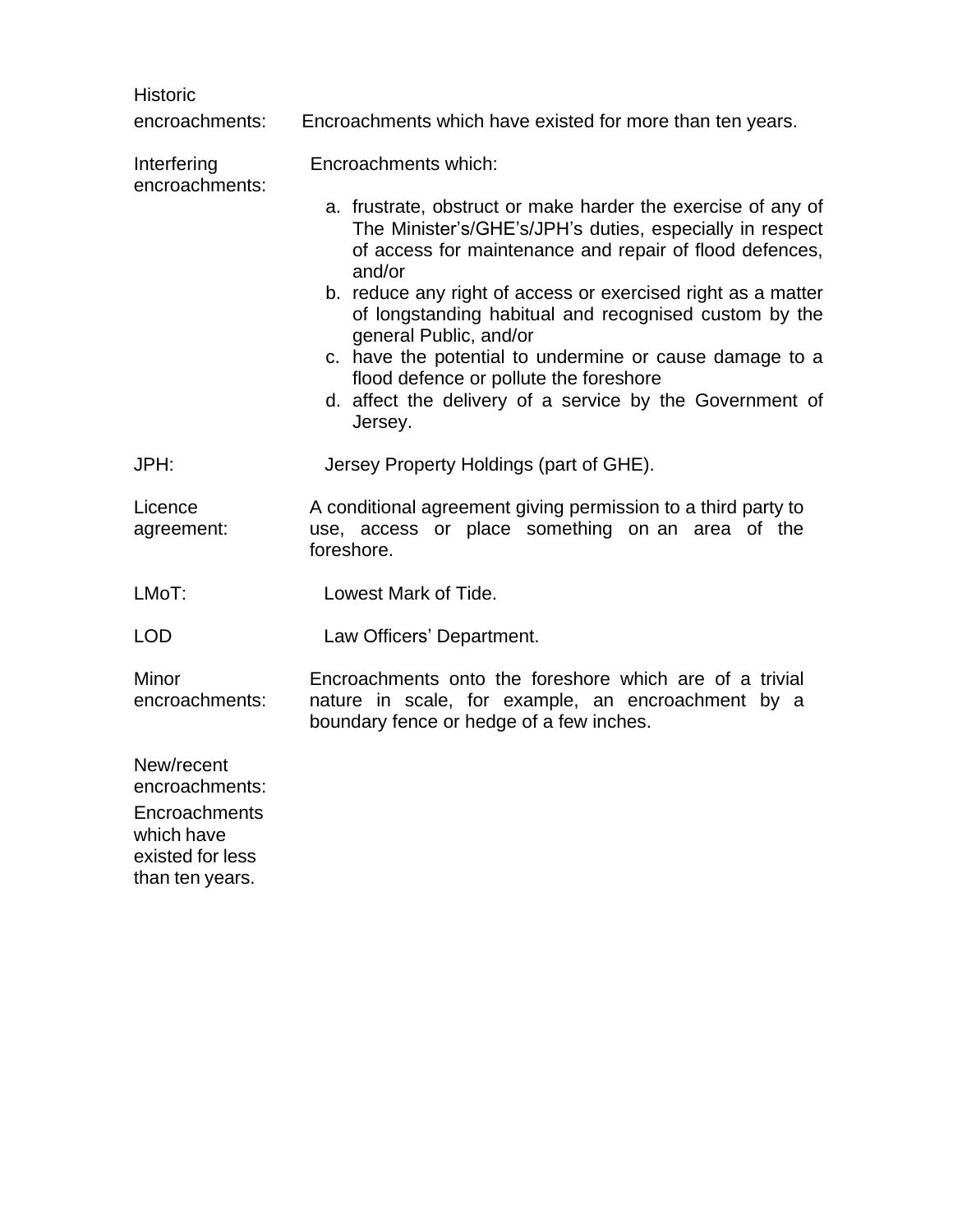| <b>Historic</b>                                                                 |                                                                                                                                                                                                                                                                                                                                                                                                                                                                                                                              |  |  |  |
|---------------------------------------------------------------------------------|------------------------------------------------------------------------------------------------------------------------------------------------------------------------------------------------------------------------------------------------------------------------------------------------------------------------------------------------------------------------------------------------------------------------------------------------------------------------------------------------------------------------------|--|--|--|
| encroachments:                                                                  | Encroachments which have existed for more than ten years.                                                                                                                                                                                                                                                                                                                                                                                                                                                                    |  |  |  |
| Interfering<br>encroachments:                                                   | Encroachments which:                                                                                                                                                                                                                                                                                                                                                                                                                                                                                                         |  |  |  |
|                                                                                 | a. frustrate, obstruct or make harder the exercise of any of<br>The Minister's/GHE's/JPH's duties, especially in respect<br>of access for maintenance and repair of flood defences,<br>and/or<br>b. reduce any right of access or exercised right as a matter<br>of longstanding habitual and recognised custom by the<br>general Public, and/or<br>c. have the potential to undermine or cause damage to a<br>flood defence or pollute the foreshore<br>d. affect the delivery of a service by the Government of<br>Jersey. |  |  |  |
| JPH:                                                                            | Jersey Property Holdings (part of GHE).                                                                                                                                                                                                                                                                                                                                                                                                                                                                                      |  |  |  |
| Licence<br>agreement:                                                           | A conditional agreement giving permission to a third party to<br>use, access or place something on an area of the<br>foreshore.                                                                                                                                                                                                                                                                                                                                                                                              |  |  |  |
| LMoT:                                                                           | Lowest Mark of Tide.                                                                                                                                                                                                                                                                                                                                                                                                                                                                                                         |  |  |  |
| <b>LOD</b>                                                                      | Law Officers' Department.                                                                                                                                                                                                                                                                                                                                                                                                                                                                                                    |  |  |  |
| Minor<br>encroachments:                                                         | Encroachments onto the foreshore which are of a trivial<br>nature in scale, for example, an encroachment by a<br>boundary fence or hedge of a few inches.                                                                                                                                                                                                                                                                                                                                                                    |  |  |  |
| New/recent<br>encroachments:<br>Encroachments<br>which have<br>existed for less |                                                                                                                                                                                                                                                                                                                                                                                                                                                                                                                              |  |  |  |

than ten years.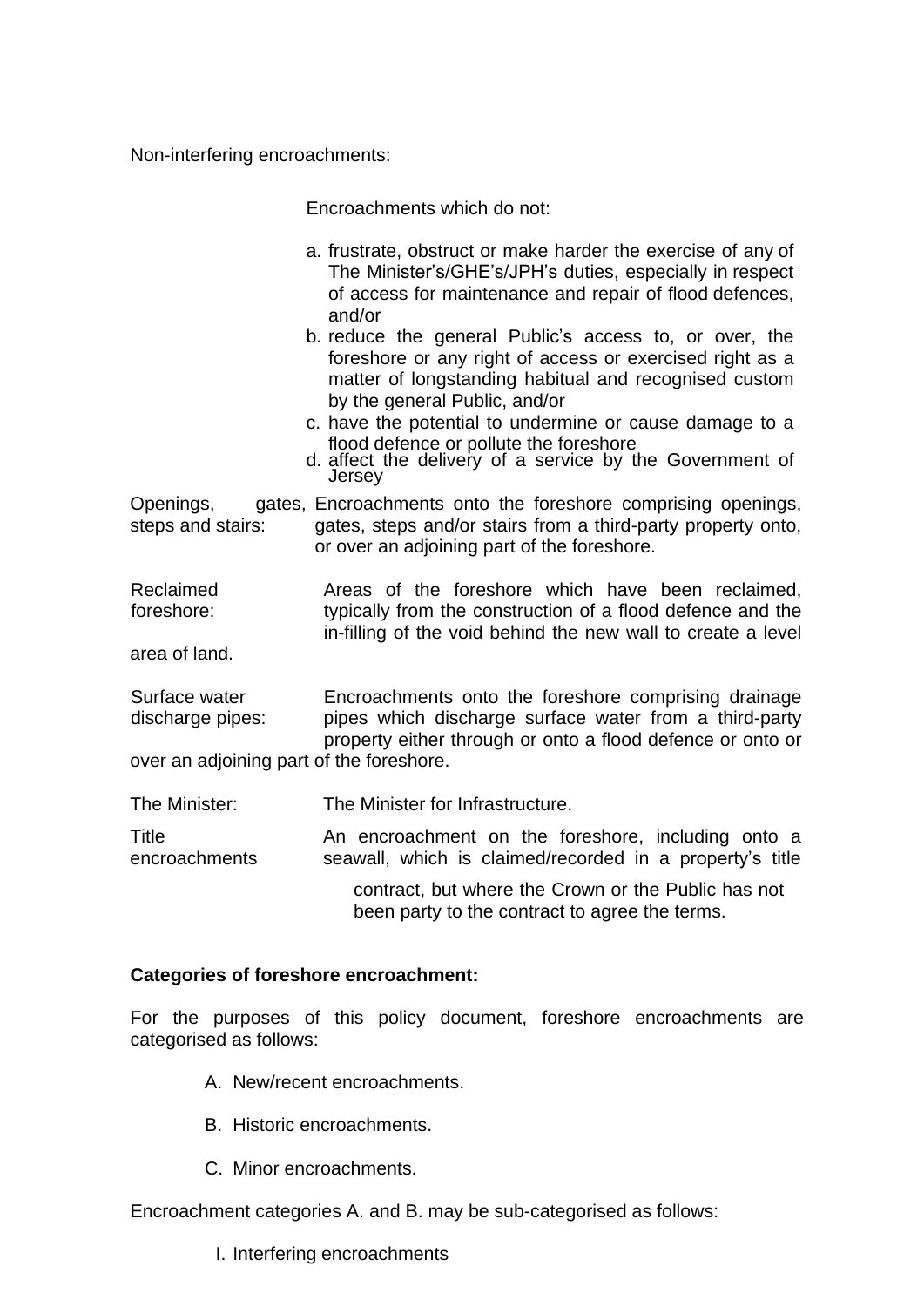Non-interfering encroachments:

Encroachments which do not:

- a. frustrate, obstruct or make harder the exercise of any of The Minister's/GHE's/JPH's duties, especially in respect of access for maintenance and repair of flood defences, and/or
- b. reduce the general Public's access to, or over, the foreshore or any right of access or exercised right as a matter of longstanding habitual and recognised custom by the general Public, and/or
- c. have the potential to undermine or cause damage to a flood defence or pollute the foreshore
- d. affect the delivery of a service by the Government of **Jersey**

Openings, steps and stairs: gates, Encroachments onto the foreshore comprising openings, gates, steps and/or stairs from a third-party property onto, or over an adjoining part of the foreshore.

Reclaimed Areas of the foreshore which have been reclaimed, foreshore: typically from the construction of a flood defence and the in-filling of the void behind the new wall to create a level

area of land.

Surface water **Encroachments** onto the foreshore comprising drainage discharge pipes: pipes which discharge surface water from a third-party property either through or onto a flood defence or onto or over an adjoining part of the foreshore.

The Minister: The Minister for Infrastructure.

Title **An encroachment on the foreshore**, including onto a encroachments seawall, which is claimed/recorded in a property's title

> contract, but where the Crown or the Public has not been party to the contract to agree the terms.

### **Categories of foreshore encroachment:**

For the purposes of this policy document, foreshore encroachments are categorised as follows:

- A. New/recent encroachments.
- B. Historic encroachments.
- C. Minor encroachments.

Encroachment categories A. and B. may be sub-categorised as follows:

I. Interfering encroachments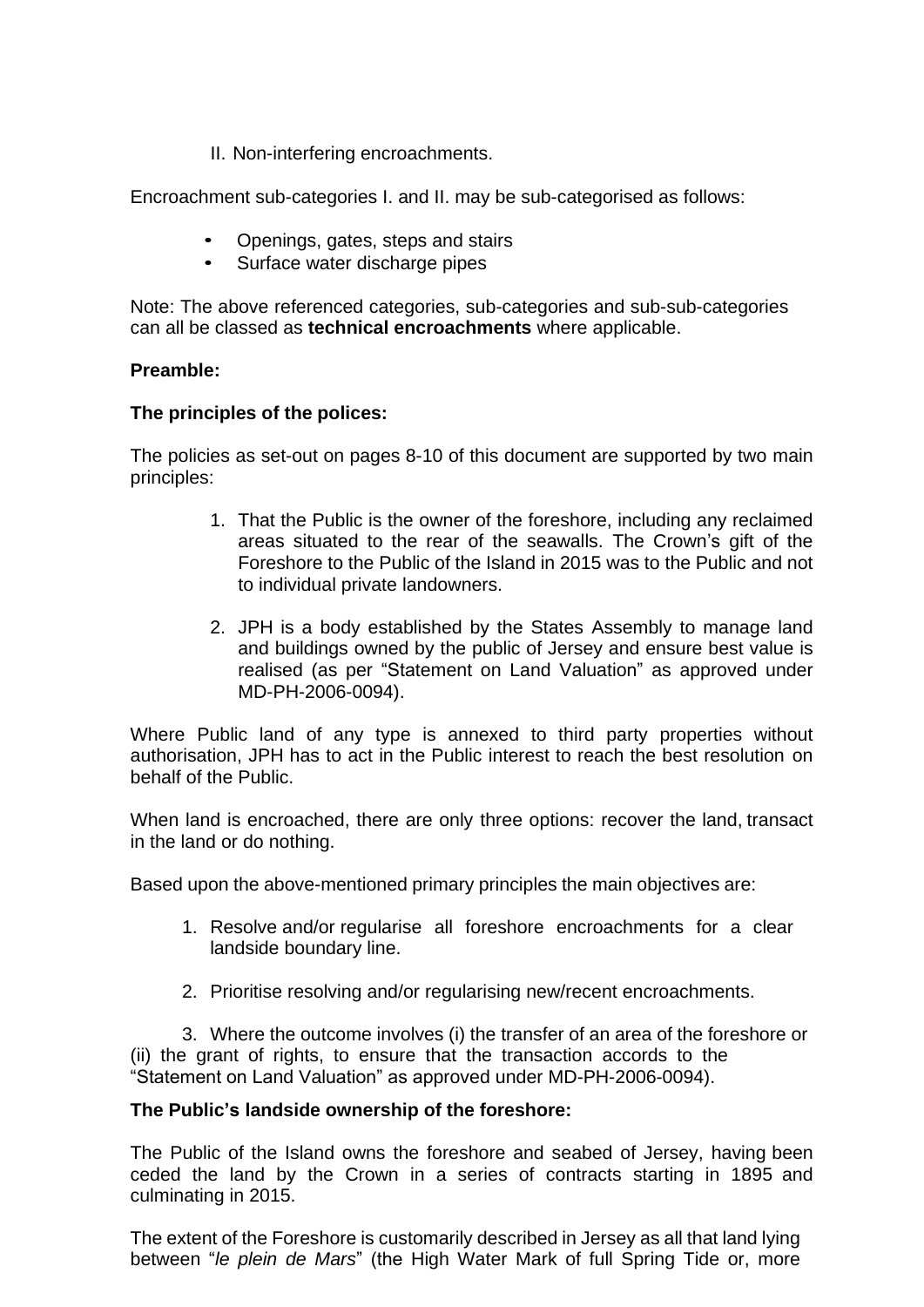II. Non-interfering encroachments.

Encroachment sub-categories I. and II. may be sub-categorised as follows:

- Openings, gates, steps and stairs
- Surface water discharge pipes

Note: The above referenced categories, sub-categories and sub-sub-categories can all be classed as **technical encroachments** where applicable.

# **Preamble:**

## **The principles of the polices:**

The policies as set-out on pages 8-10 of this document are supported by two main principles:

- 1. That the Public is the owner of the foreshore, including any reclaimed areas situated to the rear of the seawalls. The Crown's gift of the Foreshore to the Public of the Island in 2015 was to the Public and not to individual private landowners.
- 2. JPH is a body established by the States Assembly to manage land and buildings owned by the public of Jersey and ensure best value is realised (as per "Statement on Land Valuation" as approved under MD-PH-2006-0094).

Where Public land of any type is annexed to third party properties without authorisation, JPH has to act in the Public interest to reach the best resolution on behalf of the Public.

When land is encroached, there are only three options: recover the land, transact in the land or do nothing.

Based upon the above-mentioned primary principles the main objectives are:

- 1. Resolve and/or regularise all foreshore encroachments for a clear landside boundary line.
- 2. Prioritise resolving and/or regularising new/recent encroachments.

3. Where the outcome involves (i) the transfer of an area of the foreshore or (ii) the grant of rights, to ensure that the transaction accords to the "Statement on Land Valuation" as approved under MD-PH-2006-0094).

## **The Public's landside ownership of the foreshore:**

The Public of the Island owns the foreshore and seabed of Jersey, having been ceded the land by the Crown in a series of contracts starting in 1895 and culminating in 2015.

The extent of the Foreshore is customarily described in Jersey as all that land lying between "*le plein de Mars*" (the High Water Mark of full Spring Tide or, more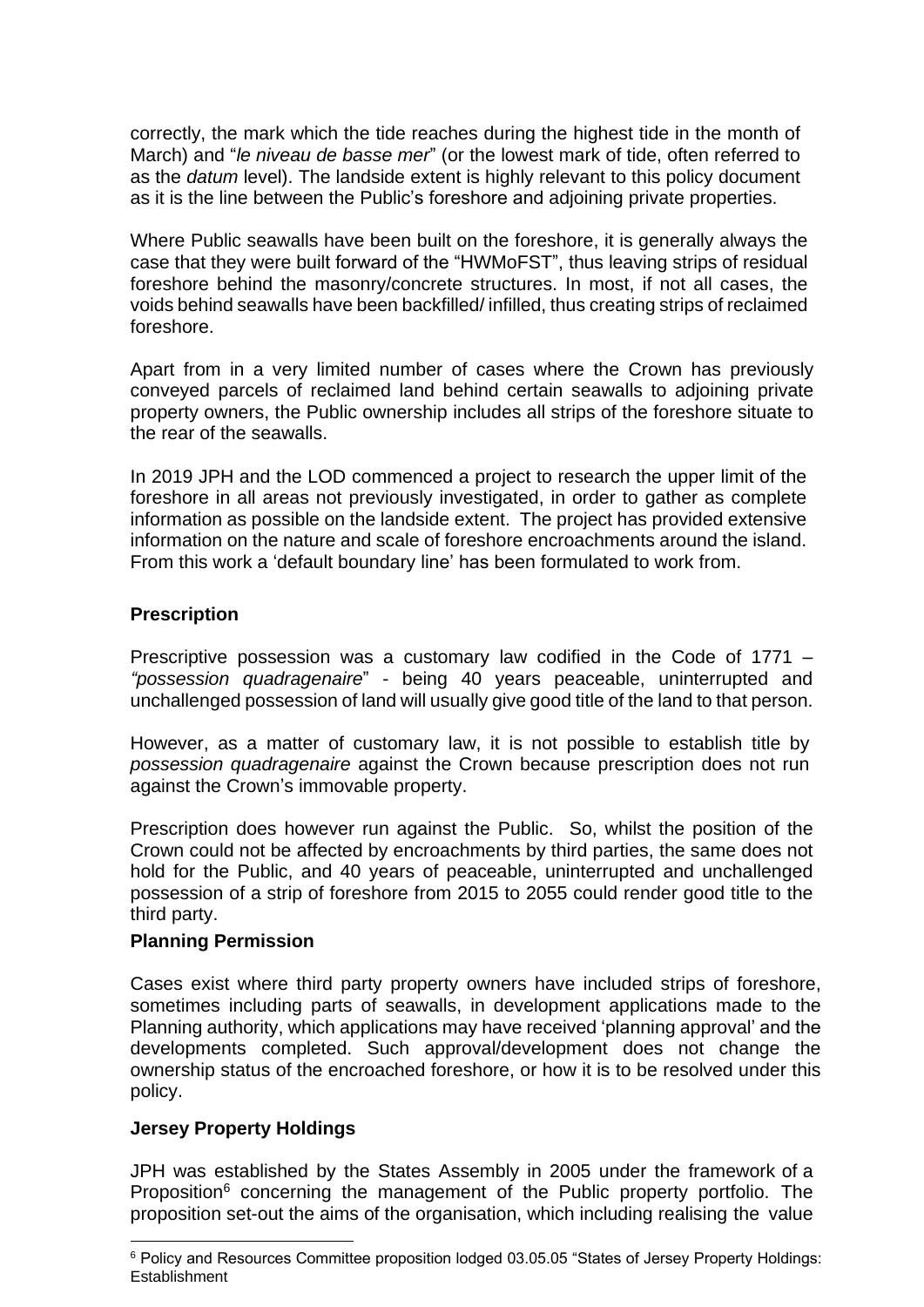correctly, the mark which the tide reaches during the highest tide in the month of March) and "*le niveau de basse mer*" (or the lowest mark of tide, often referred to as the *datum* level). The landside extent is highly relevant to this policy document as it is the line between the Public's foreshore and adjoining private properties.

Where Public seawalls have been built on the foreshore, it is generally always the case that they were built forward of the "HWMoFST", thus leaving strips of residual foreshore behind the masonry/concrete structures. In most, if not all cases, the voids behind seawalls have been backfilled/ infilled, thus creating strips of reclaimed foreshore.

Apart from in a very limited number of cases where the Crown has previously conveyed parcels of reclaimed land behind certain seawalls to adjoining private property owners, the Public ownership includes all strips of the foreshore situate to the rear of the seawalls.

In 2019 JPH and the LOD commenced a project to research the upper limit of the foreshore in all areas not previously investigated, in order to gather as complete information as possible on the landside extent. The project has provided extensive information on the nature and scale of foreshore encroachments around the island. From this work a 'default boundary line' has been formulated to work from.

### **Prescription**

Prescriptive possession was a customary law codified in the Code of 1771 – *"possession quadragenaire*" - being 40 years peaceable, uninterrupted and unchallenged possession of land will usually give good title of the land to that person.

However, as a matter of customary law, it is not possible to establish title by *possession quadragenaire* against the Crown because prescription does not run against the Crown's immovable property.

Prescription does however run against the Public. So, whilst the position of the Crown could not be affected by encroachments by third parties, the same does not hold for the Public, and 40 years of peaceable, uninterrupted and unchallenged possession of a strip of foreshore from 2015 to 2055 could render good title to the third party.

### **Planning Permission**

Cases exist where third party property owners have included strips of foreshore, sometimes including parts of seawalls, in development applications made to the Planning authority, which applications may have received 'planning approval' and the developments completed. Such approval/development does not change the ownership status of the encroached foreshore, or how it is to be resolved under this policy.

## **Jersey Property Holdings**

JPH was established by the States Assembly in 2005 under the framework of a Proposition<sup>6</sup> concerning the management of the Public property portfolio. The proposition set-out the aims of the organisation, which including realising the value

<sup>6</sup> Policy and Resources Committee proposition lodged 03.05.05 "States of Jersey Property Holdings: **Establishment**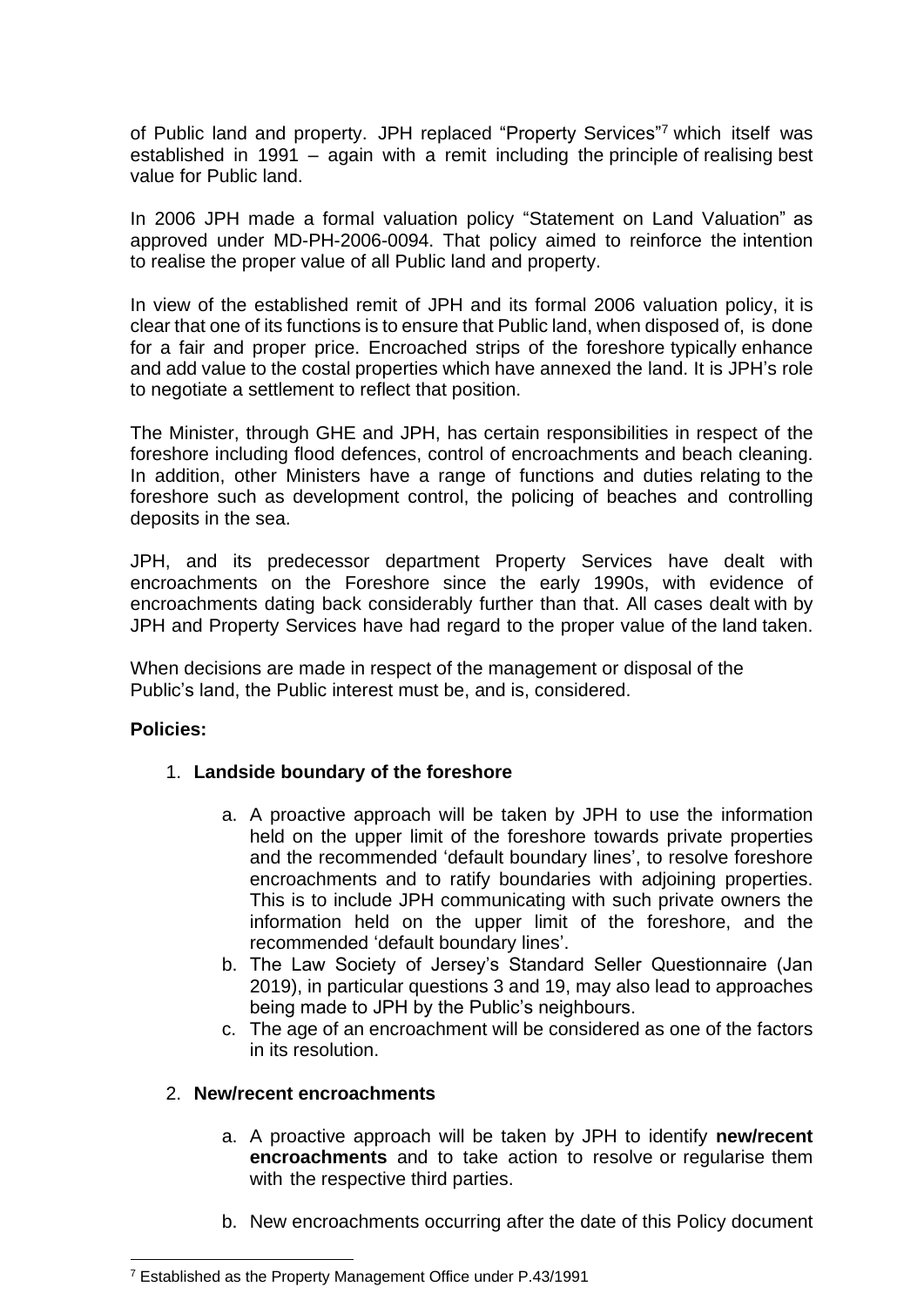of Public land and property. JPH replaced "Property Services"<sup>7</sup> which itself was established in 1991 – again with a remit including the principle of realising best value for Public land.

In 2006 JPH made a formal valuation policy "Statement on Land Valuation" as approved under MD-PH-2006-0094. That policy aimed to reinforce the intention to realise the proper value of all Public land and property.

In view of the established remit of JPH and its formal 2006 valuation policy, it is clear that one of its functions is to ensure that Public land, when disposed of, is done for a fair and proper price. Encroached strips of the foreshore typically enhance and add value to the costal properties which have annexed the land. It is JPH's role to negotiate a settlement to reflect that position.

The Minister, through GHE and JPH, has certain responsibilities in respect of the foreshore including flood defences, control of encroachments and beach cleaning. In addition, other Ministers have a range of functions and duties relating to the foreshore such as development control, the policing of beaches and controlling deposits in the sea.

JPH, and its predecessor department Property Services have dealt with encroachments on the Foreshore since the early 1990s, with evidence of encroachments dating back considerably further than that. All cases dealt with by JPH and Property Services have had regard to the proper value of the land taken.

When decisions are made in respect of the management or disposal of the Public's land, the Public interest must be, and is, considered.

## **Policies:**

## 1. **Landside boundary of the foreshore**

- a. A proactive approach will be taken by JPH to use the information held on the upper limit of the foreshore towards private properties and the recommended 'default boundary lines', to resolve foreshore encroachments and to ratify boundaries with adjoining properties. This is to include JPH communicating with such private owners the information held on the upper limit of the foreshore, and the recommended 'default boundary lines'.
- b. The Law Society of Jersey's Standard Seller Questionnaire (Jan 2019), in particular questions 3 and 19, may also lead to approaches being made to JPH by the Public's neighbours.
- c. The age of an encroachment will be considered as one of the factors in its resolution.

### 2. **New/recent encroachments**

- a. A proactive approach will be taken by JPH to identify **new/recent encroachments** and to take action to resolve or regularise them with the respective third parties.
- b. New encroachments occurring after the date of this Policy document

<sup>7</sup> Established as the Property Management Office under P.43/1991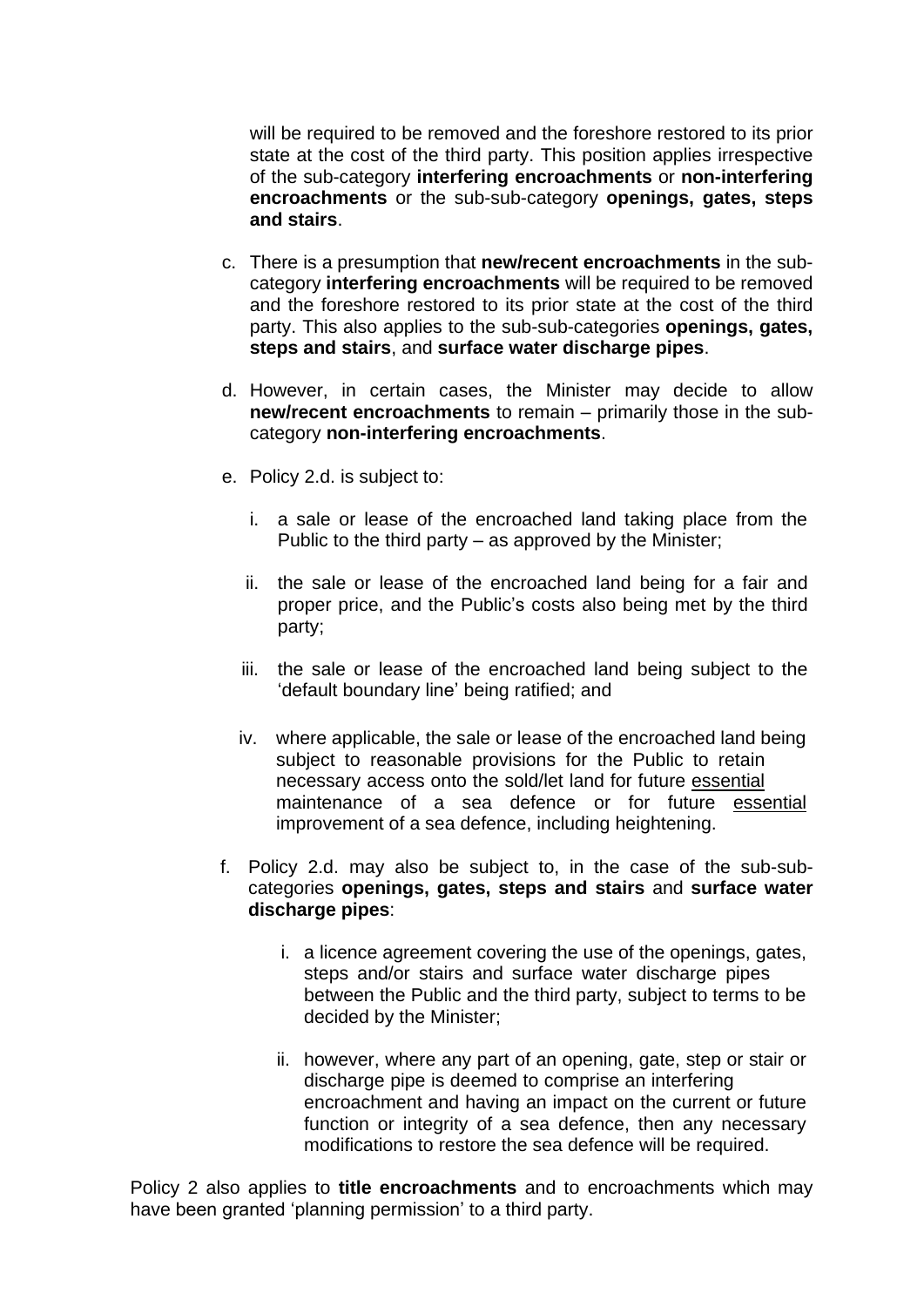will be required to be removed and the foreshore restored to its prior state at the cost of the third party. This position applies irrespective of the sub-category **interfering encroachments** or **non-interfering encroachments** or the sub-sub-category **openings, gates, steps and stairs**.

- c. There is a presumption that **new/recent encroachments** in the subcategory **interfering encroachments** will be required to be removed and the foreshore restored to its prior state at the cost of the third party. This also applies to the sub-sub-categories **openings, gates, steps and stairs**, and **surface water discharge pipes**.
- d. However, in certain cases, the Minister may decide to allow **new/recent encroachments** to remain – primarily those in the subcategory **non-interfering encroachments**.
- e. Policy 2.d. is subject to:
	- i. a sale or lease of the encroached land taking place from the Public to the third party – as approved by the Minister;
	- ii. the sale or lease of the encroached land being for a fair and proper price, and the Public's costs also being met by the third party;
	- iii. the sale or lease of the encroached land being subject to the 'default boundary line' being ratified; and
	- iv. where applicable, the sale or lease of the encroached land being subject to reasonable provisions for the Public to retain necessary access onto the sold/let land for future essential maintenance of a sea defence or for future essential improvement of a sea defence, including heightening.
- f. Policy 2.d. may also be subject to, in the case of the sub-subcategories **openings, gates, steps and stairs** and **surface water discharge pipes**:
	- i. a licence agreement covering the use of the openings, gates, steps and/or stairs and surface water discharge pipes between the Public and the third party, subject to terms to be decided by the Minister;
	- ii. however, where any part of an opening, gate, step or stair or discharge pipe is deemed to comprise an interfering encroachment and having an impact on the current or future function or integrity of a sea defence, then any necessary modifications to restore the sea defence will be required.

Policy 2 also applies to **title encroachments** and to encroachments which may have been granted 'planning permission' to a third party.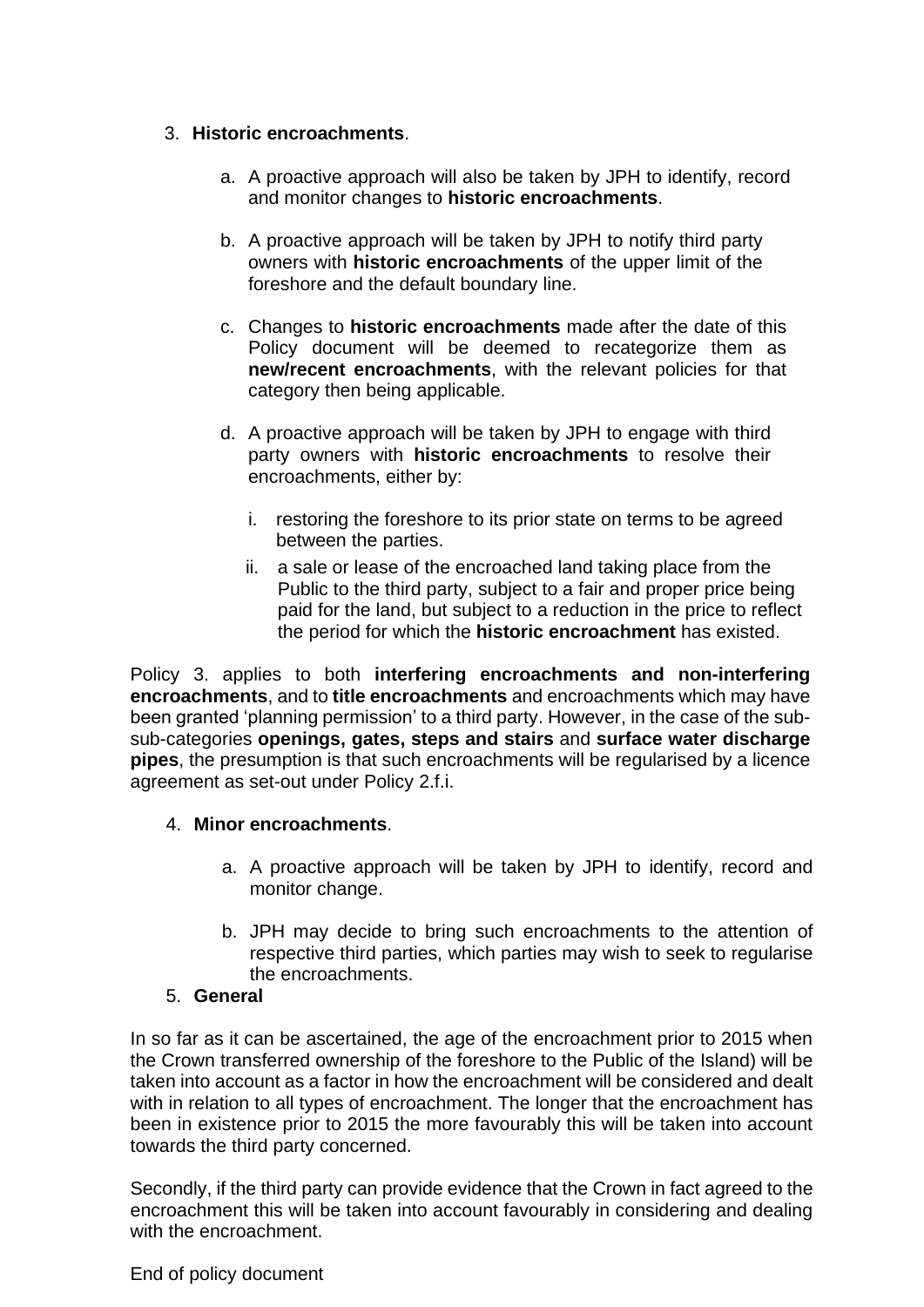# 3. **Historic encroachments**.

- a. A proactive approach will also be taken by JPH to identify, record and monitor changes to **historic encroachments**.
- b. A proactive approach will be taken by JPH to notify third party owners with **historic encroachments** of the upper limit of the foreshore and the default boundary line.
- c. Changes to **historic encroachments** made after the date of this Policy document will be deemed to recategorize them as **new/recent encroachments**, with the relevant policies for that category then being applicable.
- d. A proactive approach will be taken by JPH to engage with third party owners with **historic encroachments** to resolve their encroachments, either by:
	- i. restoring the foreshore to its prior state on terms to be agreed between the parties.
	- ii. a sale or lease of the encroached land taking place from the Public to the third party, subject to a fair and proper price being paid for the land, but subject to a reduction in the price to reflect the period for which the **historic encroachment** has existed.

Policy 3. applies to both **interfering encroachments and non-interfering encroachments**, and to **title encroachments** and encroachments which may have been granted 'planning permission' to a third party. However, in the case of the subsub-categories **openings, gates, steps and stairs** and **surface water discharge pipes**, the presumption is that such encroachments will be regularised by a licence agreement as set-out under Policy 2.f.i.

## 4. **Minor encroachments**.

- a. A proactive approach will be taken by JPH to identify, record and monitor change.
- b. JPH may decide to bring such encroachments to the attention of respective third parties, which parties may wish to seek to regularise the encroachments.

# 5. **General**

In so far as it can be ascertained, the age of the encroachment prior to 2015 when the Crown transferred ownership of the foreshore to the Public of the Island) will be taken into account as a factor in how the encroachment will be considered and dealt with in relation to all types of encroachment. The longer that the encroachment has been in existence prior to 2015 the more favourably this will be taken into account towards the third party concerned.

Secondly, if the third party can provide evidence that the Crown in fact agreed to the encroachment this will be taken into account favourably in considering and dealing with the encroachment.

End of policy document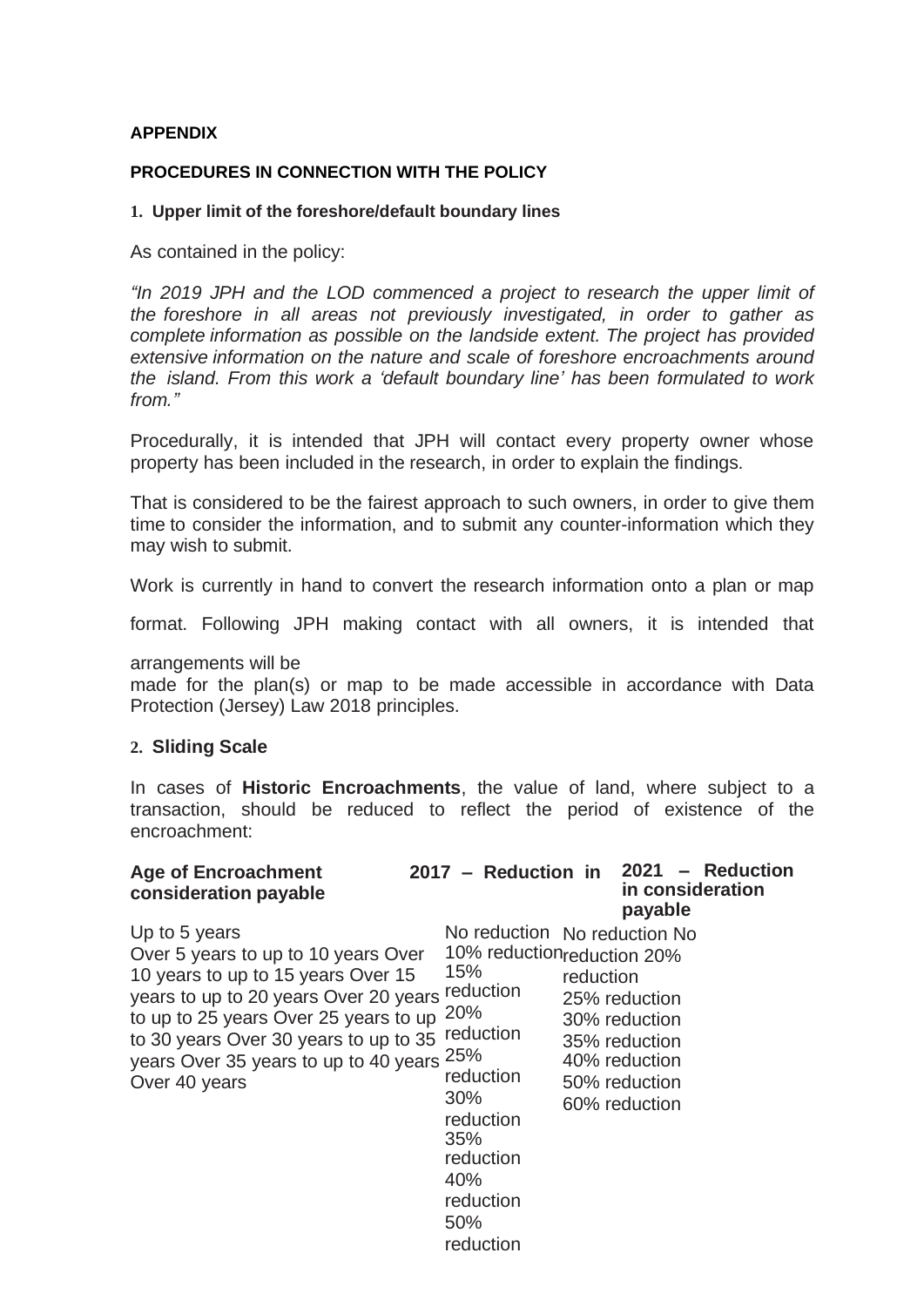### **APPENDIX**

### **PROCEDURES IN CONNECTION WITH THE POLICY**

### **1. Upper limit of the foreshore/default boundary lines**

As contained in the policy:

*"In 2019 JPH and the LOD commenced a project to research the upper limit of the foreshore in all areas not previously investigated, in order to gather as complete information as possible on the landside extent. The project has provided extensive information on the nature and scale of foreshore encroachments around the island. From this work a 'default boundary line' has been formulated to work from."*

Procedurally, it is intended that JPH will contact every property owner whose property has been included in the research, in order to explain the findings.

That is considered to be the fairest approach to such owners, in order to give them time to consider the information, and to submit any counter-information which they may wish to submit.

Work is currently in hand to convert the research information onto a plan or map

format. Following JPH making contact with all owners, it is intended that

arrangements will be

made for the plan(s) or map to be made accessible in accordance with Data Protection (Jersey) Law 2018 principles.

### **2. Sliding Scale**

In cases of **Historic Encroachments**, the value of land, where subject to a transaction, should be reduced to reflect the period of existence of the encroachment:

| <b>Age of Encroachment</b><br>consideration payable                                                                                                                                                                                                                                           | 2017 - Reduction in                                                                                                                                                                       |           | 2021<br>in consideration<br>payable                                                                | - Reduction |
|-----------------------------------------------------------------------------------------------------------------------------------------------------------------------------------------------------------------------------------------------------------------------------------------------|-------------------------------------------------------------------------------------------------------------------------------------------------------------------------------------------|-----------|----------------------------------------------------------------------------------------------------|-------------|
| Up to 5 years<br>Over 5 years to up to 10 years Over<br>10 years to up to 15 years Over 15<br>years to up to 20 years Over 20 years reduction<br>to up to 25 years Over 25 years to up<br>to 30 years Over 30 years to up to 35<br>years Over 35 years to up to 40 years 25%<br>Over 40 years | No reduction No reduction No<br>10% reductionreduction 20%<br>15%<br><b>20%</b><br>reduction<br>reduction<br>30%<br>reduction<br>35%<br>reduction<br>40%<br>reduction<br>50%<br>reduction | reduction | 25% reduction<br>30% reduction<br>35% reduction<br>40% reduction<br>50% reduction<br>60% reduction |             |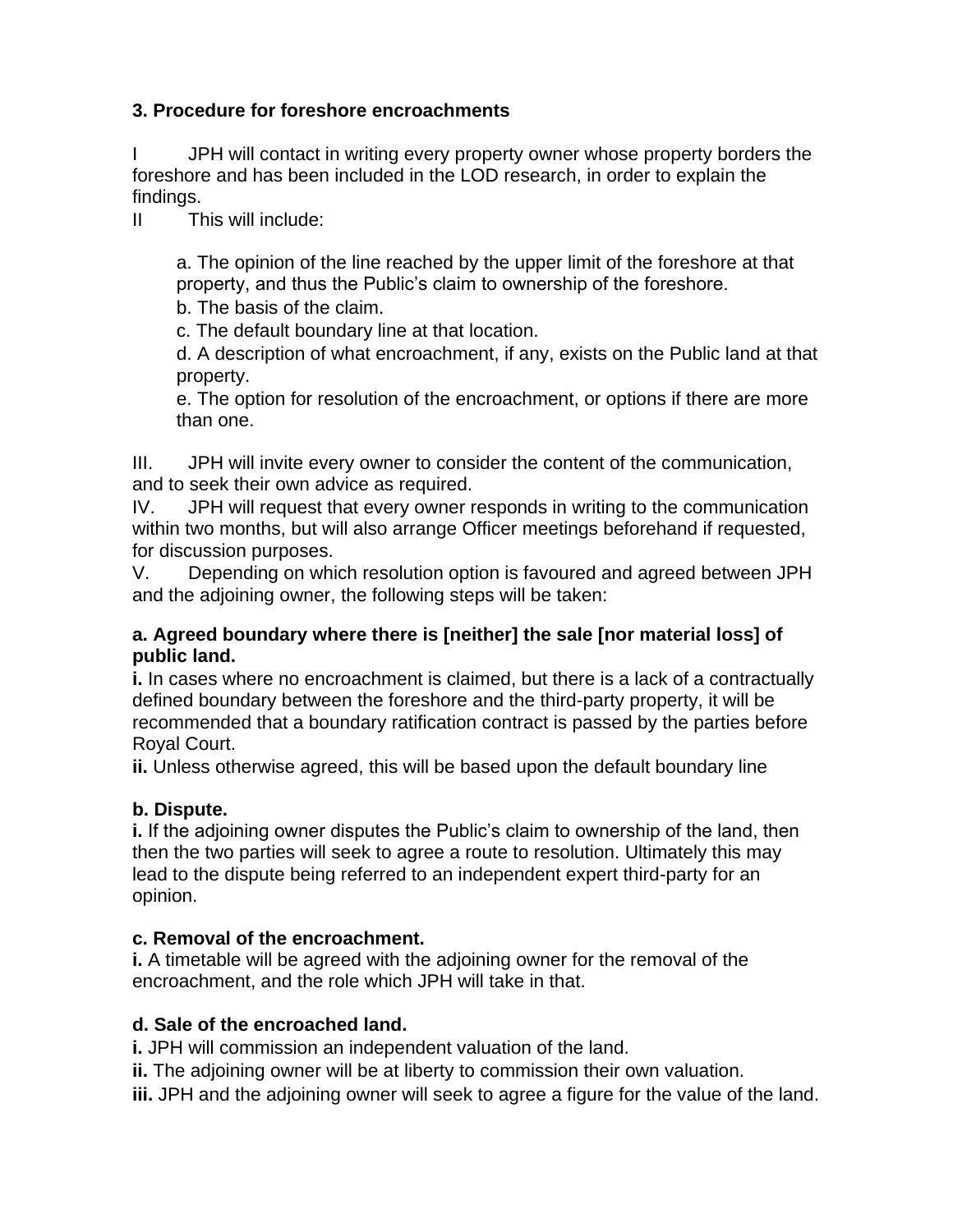# **3. Procedure for foreshore encroachments**

I JPH will contact in writing every property owner whose property borders the foreshore and has been included in the LOD research, in order to explain the findings.

II This will include:

a. The opinion of the line reached by the upper limit of the foreshore at that property, and thus the Public's claim to ownership of the foreshore.

b. The basis of the claim.

c. The default boundary line at that location.

d. A description of what encroachment, if any, exists on the Public land at that property.

e. The option for resolution of the encroachment, or options if there are more than one.

III. JPH will invite every owner to consider the content of the communication, and to seek their own advice as required.

IV. JPH will request that every owner responds in writing to the communication within two months, but will also arrange Officer meetings beforehand if requested, for discussion purposes.

V. Depending on which resolution option is favoured and agreed between JPH and the adjoining owner, the following steps will be taken:

# **a. Agreed boundary where there is [neither] the sale [nor material loss] of public land.**

**i.** In cases where no encroachment is claimed, but there is a lack of a contractually defined boundary between the foreshore and the third-party property, it will be recommended that a boundary ratification contract is passed by the parties before Royal Court.

**ii.** Unless otherwise agreed, this will be based upon the default boundary line

# **b. Dispute.**

**i.** If the adjoining owner disputes the Public's claim to ownership of the land, then then the two parties will seek to agree a route to resolution. Ultimately this may lead to the dispute being referred to an independent expert third-party for an opinion.

# **c. Removal of the encroachment.**

**i.** A timetable will be agreed with the adjoining owner for the removal of the encroachment, and the role which JPH will take in that.

# **d. Sale of the encroached land.**

**i.** JPH will commission an independent valuation of the land.

**ii.** The adjoining owner will be at liberty to commission their own valuation.

**iii.** JPH and the adjoining owner will seek to agree a figure for the value of the land.